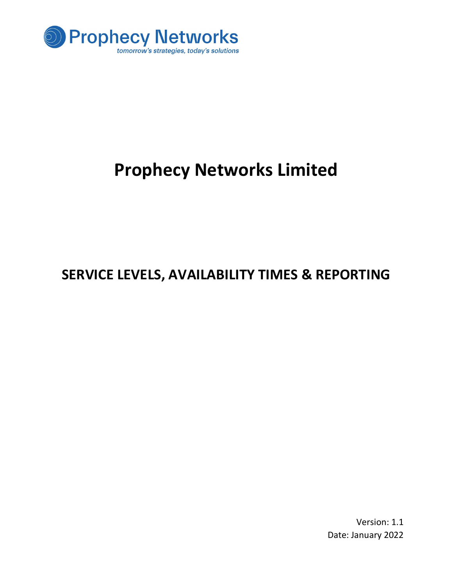

# Prophecy Networks Limited

# SERVICE LEVELS, AVAILABILITY TIMES & REPORTING

Version: 1.1 Date: January 2022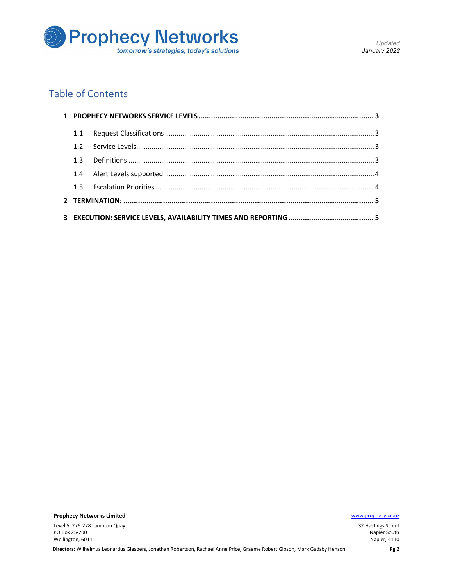

# Table of Contents

| 12 |  |
|----|--|
| 13 |  |
|    |  |
|    |  |
|    |  |
|    |  |

Prophecy Networks Limited **Example 2018** 2019 12:00:00 Manual Accounts 2019 12:00:00 Manual Accounts 2019 12:00:00 Manual Accounts 2019 12:00:00 Manual Accounts 2019 12:00:00 Manual Accounts 2019 12:00:00 Manual Accounts 2

Level 5, 276-278 Lambton Quay PO Box 25-200 Wellington, 6011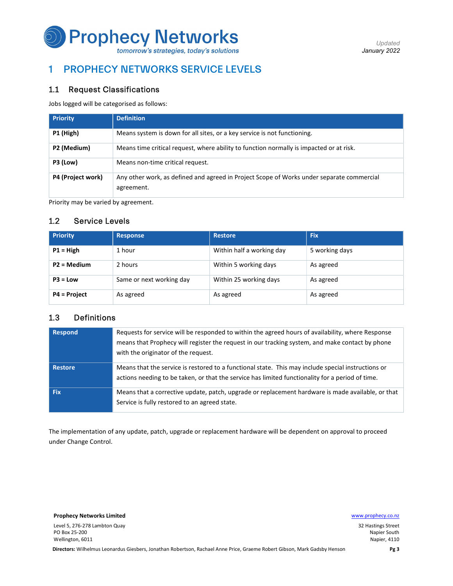

# 1 PROPHECY NETWORKS SERVICE LEVELS

### 1.1 Request Classifications

Jobs logged will be categorised as follows:

| <b>Priority</b>   | <b>Definition</b>                                                                                       |
|-------------------|---------------------------------------------------------------------------------------------------------|
| P1 (High)         | Means system is down for all sites, or a key service is not functioning.                                |
| P2 (Medium)       | Means time critical request, where ability to function normally is impacted or at risk.                 |
| P3 (Low)          | Means non-time critical request.                                                                        |
| P4 (Project work) | Any other work, as defined and agreed in Project Scope of Works under separate commercial<br>agreement. |

Priority may be varied by agreement.

## 1.2 Service Levels

| <b>Priority</b>     | <b>Response</b>          | <b>Restore</b>            | <b>Fix</b>     |
|---------------------|--------------------------|---------------------------|----------------|
| $P1 = High$         | 1 hour                   | Within half a working day | 5 working days |
| $P2 = Medium$       | 2 hours                  | Within 5 working days     | As agreed      |
| $P3 = Low$          | Same or next working day | Within 25 working days    | As agreed      |
| <b>P4 = Project</b> | As agreed                | As agreed                 | As agreed      |

## 1.3 Definitions

| <b>Respond</b> | Requests for service will be responded to within the agreed hours of availability, where Response<br>means that Prophecy will register the request in our tracking system, and make contact by phone<br>with the originator of the request. |
|----------------|---------------------------------------------------------------------------------------------------------------------------------------------------------------------------------------------------------------------------------------------|
| <b>Restore</b> | Means that the service is restored to a functional state. This may include special instructions or<br>actions needing to be taken, or that the service has limited functionality for a period of time.                                      |
| Fix            | Means that a corrective update, patch, upgrade or replacement hardware is made available, or that<br>Service is fully restored to an agreed state.                                                                                          |

The implementation of any update, patch, upgrade or replacement hardware will be dependent on approval to proceed under Change Control.

**Prophecy Networks Limited With the Community of the Community Community Community Community Community Community Community Community Community Community Community Community Community Community Community Community Community** 

Level 5, 276-278 Lambton Quay PO Box 25-200 Wellington, 6011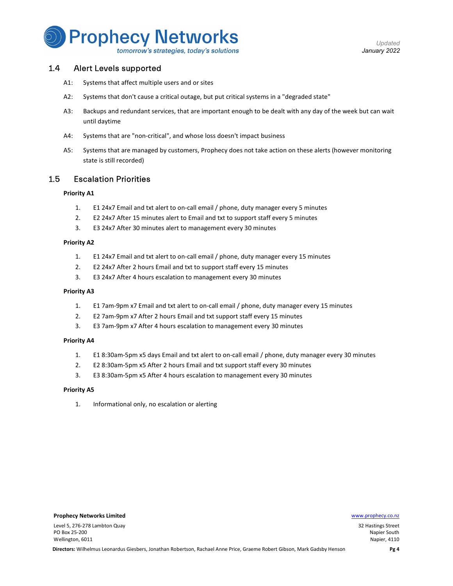

Updated January 2022

### 1.4 Alert Levels supported

- A1: Systems that affect multiple users and or sites
- A2: Systems that don't cause a critical outage, but put critical systems in a "degraded state"
- A3: Backups and redundant services, that are important enough to be dealt with any day of the week but can wait until daytime
- A4: Systems that are "non-critical", and whose loss doesn't impact business
- A5: Systems that are managed by customers, Prophecy does not take action on these alerts (however monitoring state is still recorded)

### 1.5 Escalation Priorities

#### Priority A1

- 1. E1 24x7 Email and txt alert to on-call email / phone, duty manager every 5 minutes
- 2. E2 24x7 After 15 minutes alert to Email and txt to support staff every 5 minutes
- 3. E3 24x7 After 30 minutes alert to management every 30 minutes

#### Priority A2

- 1. E1 24x7 Email and txt alert to on-call email / phone, duty manager every 15 minutes
- 2. E2 24x7 After 2 hours Email and txt to support staff every 15 minutes
- 3. E3 24x7 After 4 hours escalation to management every 30 minutes

#### Priority A3

- 1. E1 7am-9pm x7 Email and txt alert to on-call email / phone, duty manager every 15 minutes
- 2. E2 7am-9pm x7 After 2 hours Email and txt support staff every 15 minutes
- 3. E3 7am-9pm x7 After 4 hours escalation to management every 30 minutes

#### Priority A4

- 1. E1 8:30am-5pm x5 days Email and txt alert to on-call email / phone, duty manager every 30 minutes
- 2. E2 8:30am-5pm x5 After 2 hours Email and txt support staff every 30 minutes
- 3. E3 8:30am-5pm x5 After 4 hours escalation to management every 30 minutes

#### Priority A5

1. Informational only, no escalation or alerting

#### **Prophecy Networks Limited With Channels and Channels and Channels and Channels and Channels and Channels and Channels and Channels and Channels and Channels and Channels and Channels and Channels and Channels and Channels**

Level 5, 276-278 Lambton Quay PO Box 25-200 Wellington, 6011